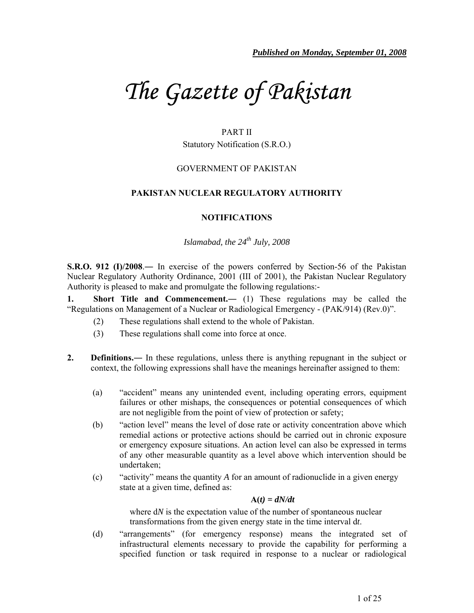# *The Gazette of Pakistan*

## PART II

Statutory Notification (S.R.O.)

## GOVERNMENT OF PAKISTAN

## **PAKISTAN NUCLEAR REGULATORY AUTHORITY**

# **NOTIFICATIONS**

*Islamabad, the 24th July, 2008* 

**S.R.O. 912 (I)/2008**.― In exercise of the powers conferred by Section-56 of the Pakistan Nuclear Regulatory Authority Ordinance, 2001 (III of 2001), the Pakistan Nuclear Regulatory Authority is pleased to make and promulgate the following regulations:-

**1. Short Title and Commencement.―** (1) These regulations may be called the "Regulations on Management of a Nuclear or Radiological Emergency - (PAK/914) (Rev.0)".

- (2) These regulations shall extend to the whole of Pakistan.
- (3) These regulations shall come into force at once.
- **2. Definitions.―** In these regulations, unless there is anything repugnant in the subject or context, the following expressions shall have the meanings hereinafter assigned to them:
	- (a) "accident" means any unintended event, including operating errors, equipment failures or other mishaps, the consequences or potential consequences of which are not negligible from the point of view of protection or safety;
	- (b) "action level" means the level of dose rate or activity concentration above which remedial actions or protective actions should be carried out in chronic exposure or emergency exposure situations. An action level can also be expressed in terms of any other measurable quantity as a level above which intervention should be undertaken;
	- (c) "activity" means the quantity *A* for an amount of radionuclide in a given energy state at a given time, defined as:

#### $A(t) = dN/dt$

where d*N* is the expectation value of the number of spontaneous nuclear transformations from the given energy state in the time interval d*t*.

(d) "arrangements" (for emergency response) means the integrated set of infrastructural elements necessary to provide the capability for performing a specified function or task required in response to a nuclear or radiological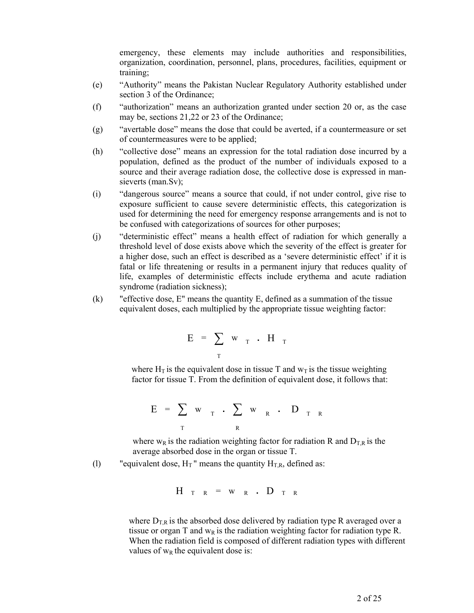emergency, these elements may include authorities and responsibilities, organization, coordination, personnel, plans, procedures, facilities, equipment or training;

- (e) "Authority" means the Pakistan Nuclear Regulatory Authority established under section 3 of the Ordinance;
- (f) "authorization" means an authorization granted under section 20 or, as the case may be, sections 21,22 or 23 of the Ordinance;
- (g) "avertable dose" means the dose that could be averted, if a countermeasure or set of countermeasures were to be applied;
- (h) "collective dose" means an expression for the total radiation dose incurred by a population, defined as the product of the number of individuals exposed to a source and their average radiation dose, the collective dose is expressed in mansieverts (man.Sv);
- (i) "dangerous source" means a source that could, if not under control, give rise to exposure sufficient to cause severe deterministic effects, this categorization is used for determining the need for emergency response arrangements and is not to be confused with categorizations of sources for other purposes;
- (j) "deterministic effect" means a health effect of radiation for which generally a threshold level of dose exists above which the severity of the effect is greater for a higher dose, such an effect is described as a 'severe deterministic effect' if it is fatal or life threatening or results in a permanent injury that reduces quality of life, examples of deterministic effects include erythema and acute radiation syndrome (radiation sickness);
- (k) "effective dose, E" means the quantity E, defined as a summation of the tissue equivalent doses, each multiplied by the appropriate tissue weighting factor:

$$
E = \sum_{T} w_{T} \cdot H_{T}
$$

where  $H_T$  is the equivalent dose in tissue T and  $w_T$  is the tissue weighting factor for tissue T. From the definition of equivalent dose, it follows that:

$$
E = \sum_{T} w_{T} \cdot \sum_{R} w_{R} \cdot D_{T R}
$$

where w<sub>R</sub> is the radiation weighting factor for radiation R and  $D_{TR}$  is the average absorbed dose in the organ or tissue T.

(l) "equivalent dose,  $H_T$ " means the quantity  $H_{TR}$ , defined as:

$$
H_{T R} = w_{R} \cdot D_{T R}
$$

where  $D_{TR}$  is the absorbed dose delivered by radiation type R averaged over a tissue or organ T and  $w_R$  is the radiation weighting factor for radiation type R. When the radiation field is composed of different radiation types with different values of  $w_R$  the equivalent dose is: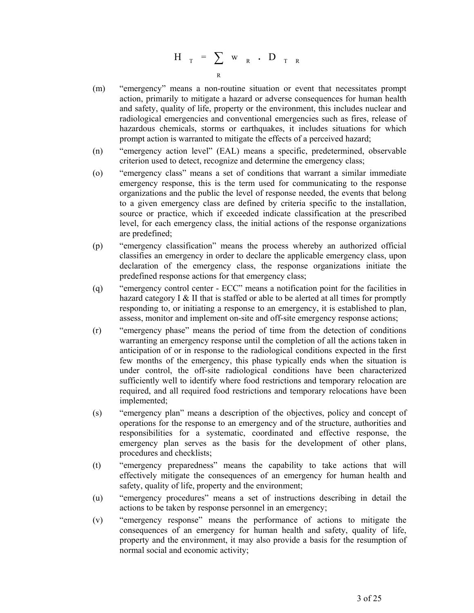$$
H_{T} = \sum_{R} w_{R} \cdot D_{T-R}
$$

- (m) "emergency" means a non-routine situation or event that necessitates prompt action, primarily to mitigate a hazard or adverse consequences for human health and safety, quality of life, property or the environment, this includes nuclear and radiological emergencies and conventional emergencies such as fires, release of hazardous chemicals, storms or earthquakes, it includes situations for which prompt action is warranted to mitigate the effects of a perceived hazard;
- (n) "emergency action level" (EAL) means a specific, predetermined, observable criterion used to detect, recognize and determine the emergency class;
- (o) "emergency class" means a set of conditions that warrant a similar immediate emergency response, this is the term used for communicating to the response organizations and the public the level of response needed, the events that belong to a given emergency class are defined by criteria specific to the installation, source or practice, which if exceeded indicate classification at the prescribed level, for each emergency class, the initial actions of the response organizations are predefined;
- (p) "emergency classification" means the process whereby an authorized official classifies an emergency in order to declare the applicable emergency class, upon declaration of the emergency class, the response organizations initiate the predefined response actions for that emergency class;
- (q) "emergency control center ECC" means a notification point for the facilities in hazard category I  $\&$  II that is staffed or able to be alerted at all times for promptly responding to, or initiating a response to an emergency, it is established to plan, assess, monitor and implement on-site and off-site emergency response actions;
- (r) "emergency phase" means the period of time from the detection of conditions warranting an emergency response until the completion of all the actions taken in anticipation of or in response to the radiological conditions expected in the first few months of the emergency, this phase typically ends when the situation is under control, the off-site radiological conditions have been characterized sufficiently well to identify where food restrictions and temporary relocation are required, and all required food restrictions and temporary relocations have been implemented;
- (s) "emergency plan" means a description of the objectives, policy and concept of operations for the response to an emergency and of the structure, authorities and responsibilities for a systematic, coordinated and effective response, the emergency plan serves as the basis for the development of other plans, procedures and checklists;
- (t) "emergency preparedness" means the capability to take actions that will effectively mitigate the consequences of an emergency for human health and safety, quality of life, property and the environment;
- (u) "emergency procedures" means a set of instructions describing in detail the actions to be taken by response personnel in an emergency;
- (v) "emergency response" means the performance of actions to mitigate the consequences of an emergency for human health and safety, quality of life, property and the environment, it may also provide a basis for the resumption of normal social and economic activity;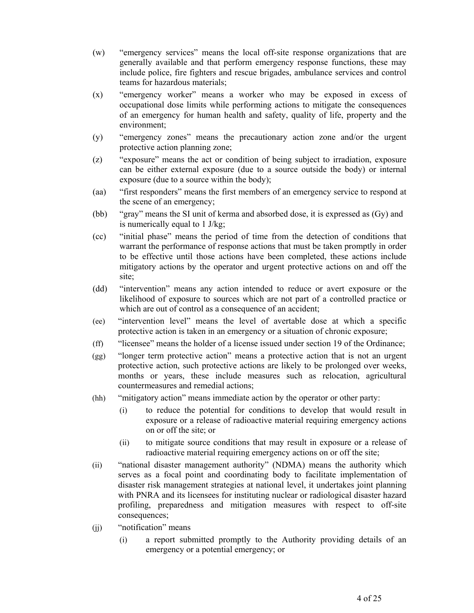- (w) "emergency services" means the local off-site response organizations that are generally available and that perform emergency response functions, these may include police, fire fighters and rescue brigades, ambulance services and control teams for hazardous materials;
- (x) "emergency worker" means a worker who may be exposed in excess of occupational dose limits while performing actions to mitigate the consequences of an emergency for human health and safety, quality of life, property and the environment;
- (y) "emergency zones" means the precautionary action zone and/or the urgent protective action planning zone;
- (z) "exposure" means the act or condition of being subject to irradiation, exposure can be either external exposure (due to a source outside the body) or internal exposure (due to a source within the body);
- (aa) "first responders" means the first members of an emergency service to respond at the scene of an emergency;
- (bb) "gray" means the SI unit of kerma and absorbed dose, it is expressed as (Gy) and is numerically equal to 1 J/kg;
- (cc) "initial phase" means the period of time from the detection of conditions that warrant the performance of response actions that must be taken promptly in order to be effective until those actions have been completed, these actions include mitigatory actions by the operator and urgent protective actions on and off the site;
- (dd) "intervention" means any action intended to reduce or avert exposure or the likelihood of exposure to sources which are not part of a controlled practice or which are out of control as a consequence of an accident;
- (ee) "intervention level" means the level of avertable dose at which a specific protective action is taken in an emergency or a situation of chronic exposure;
- (ff) "licensee" means the holder of a license issued under section 19 of the Ordinance;
- (gg) "longer term protective action" means a protective action that is not an urgent protective action, such protective actions are likely to be prolonged over weeks, months or years, these include measures such as relocation, agricultural countermeasures and remedial actions;
- (hh) "mitigatory action" means immediate action by the operator or other party:
	- (i) to reduce the potential for conditions to develop that would result in exposure or a release of radioactive material requiring emergency actions on or off the site; or
	- (ii) to mitigate source conditions that may result in exposure or a release of radioactive material requiring emergency actions on or off the site;
- (ii) "national disaster management authority" (NDMA) means the authority which serves as a focal point and coordinating body to facilitate implementation of disaster risk management strategies at national level, it undertakes joint planning with PNRA and its licensees for instituting nuclear or radiological disaster hazard profiling, preparedness and mitigation measures with respect to off-site consequences;
- (jj) "notification" means
	- (i) a report submitted promptly to the Authority providing details of an emergency or a potential emergency; or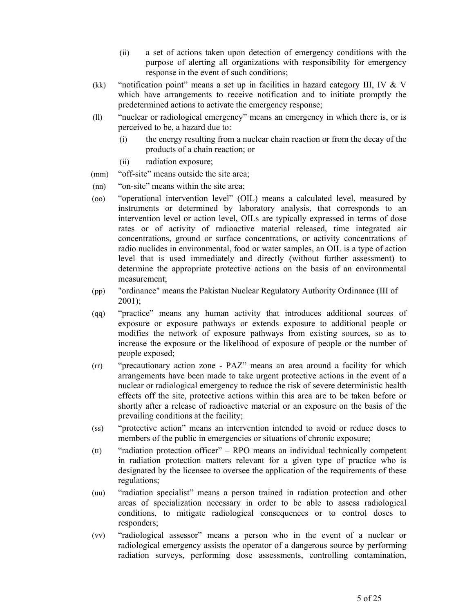- (ii) a set of actions taken upon detection of emergency conditions with the purpose of alerting all organizations with responsibility for emergency response in the event of such conditions;
- (kk) "notification point" means a set up in facilities in hazard category III, IV  $&$  V which have arrangements to receive notification and to initiate promptly the predetermined actions to activate the emergency response;
- (ll) "nuclear or radiological emergency" means an emergency in which there is, or is perceived to be, a hazard due to:
	- (i) the energy resulting from a nuclear chain reaction or from the decay of the products of a chain reaction; or
	- (ii) radiation exposure;
- (mm) "off-site" means outside the site area;
- (nn) "on-site" means within the site area;
- (oo) "operational intervention level" (OIL) means a calculated level, measured by instruments or determined by laboratory analysis, that corresponds to an intervention level or action level, OILs are typically expressed in terms of dose rates or of activity of radioactive material released, time integrated air concentrations, ground or surface concentrations, or activity concentrations of radio nuclides in environmental, food or water samples, an OIL is a type of action level that is used immediately and directly (without further assessment) to determine the appropriate protective actions on the basis of an environmental measurement;
- (pp) "ordinance" means the Pakistan Nuclear Regulatory Authority Ordinance (III of 2001);
- (qq) "practice" means any human activity that introduces additional sources of exposure or exposure pathways or extends exposure to additional people or modifies the network of exposure pathways from existing sources, so as to increase the exposure or the likelihood of exposure of people or the number of people exposed;
- (rr) "precautionary action zone PAZ" means an area around a facility for which arrangements have been made to take urgent protective actions in the event of a nuclear or radiological emergency to reduce the risk of severe deterministic health effects off the site, protective actions within this area are to be taken before or shortly after a release of radioactive material or an exposure on the basis of the prevailing conditions at the facility;
- (ss) "protective action" means an intervention intended to avoid or reduce doses to members of the public in emergencies or situations of chronic exposure;
- (tt) "radiation protection officer" RPO means an individual technically competent in radiation protection matters relevant for a given type of practice who is designated by the licensee to oversee the application of the requirements of these regulations;
- (uu) "radiation specialist" means a person trained in radiation protection and other areas of specialization necessary in order to be able to assess radiological conditions, to mitigate radiological consequences or to control doses to responders;
- (vv) "radiological assessor" means a person who in the event of a nuclear or radiological emergency assists the operator of a dangerous source by performing radiation surveys, performing dose assessments, controlling contamination,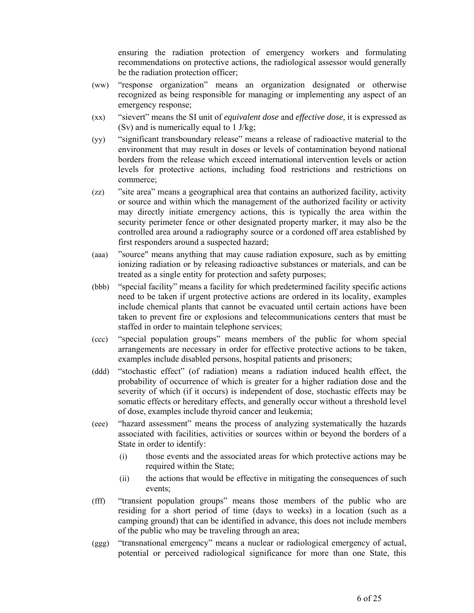ensuring the radiation protection of emergency workers and formulating recommendations on protective actions, the radiological assessor would generally be the radiation protection officer;

- (ww) "response organization" means an organization designated or otherwise recognized as being responsible for managing or implementing any aspect of an emergency response;
- (xx) "sievert" means the SI unit of *equivalent dose* and *effective dose,* it is expressed as (Sv) and is numerically equal to 1 J/kg;
- (yy) "significant transboundary release" means a release of radioactive material to the environment that may result in doses or levels of contamination beyond national borders from the release which exceed international intervention levels or action levels for protective actions, including food restrictions and restrictions on commerce;
- (zz) "site area" means a geographical area that contains an authorized facility, activity or source and within which the management of the authorized facility or activity may directly initiate emergency actions, this is typically the area within the security perimeter fence or other designated property marker, it may also be the controlled area around a radiography source or a cordoned off area established by first responders around a suspected hazard;
- (aaa) "source" means anything that may cause radiation exposure, such as by emitting ionizing radiation or by releasing radioactive substances or materials, and can be treated as a single entity for protection and safety purposes;
- (bbb) "special facility" means a facility for which predetermined facility specific actions need to be taken if urgent protective actions are ordered in its locality, examples include chemical plants that cannot be evacuated until certain actions have been taken to prevent fire or explosions and telecommunications centers that must be staffed in order to maintain telephone services;
- (ccc) "special population groups" means members of the public for whom special arrangements are necessary in order for effective protective actions to be taken, examples include disabled persons, hospital patients and prisoners;
- (ddd) "stochastic effect" (of radiation) means a radiation induced health effect, the probability of occurrence of which is greater for a higher radiation dose and the severity of which (if it occurs) is independent of dose, stochastic effects may be somatic effects or hereditary effects, and generally occur without a threshold level of dose, examples include thyroid cancer and leukemia;
- (eee) "hazard assessment" means the process of analyzing systematically the hazards associated with facilities, activities or sources within or beyond the borders of a State in order to identify:
	- (i) those events and the associated areas for which protective actions may be required within the State;
	- (ii) the actions that would be effective in mitigating the consequences of such events;
- (fff) "transient population groups" means those members of the public who are residing for a short period of time (days to weeks) in a location (such as a camping ground) that can be identified in advance, this does not include members of the public who may be traveling through an area;
- (ggg) "transnational emergency" means a nuclear or radiological emergency of actual, potential or perceived radiological significance for more than one State, this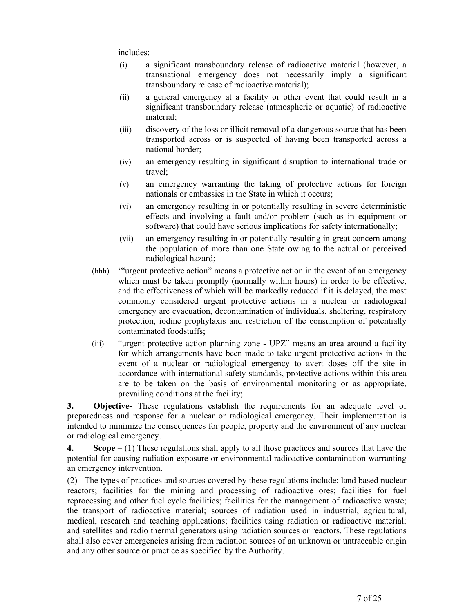includes:

- (i) a significant transboundary release of radioactive material (however, a transnational emergency does not necessarily imply a significant transboundary release of radioactive material);
- (ii) a general emergency at a facility or other event that could result in a significant transboundary release (atmospheric or aquatic) of radioactive material;
- (iii) discovery of the loss or illicit removal of a dangerous source that has been transported across or is suspected of having been transported across a national border;
- (iv) an emergency resulting in significant disruption to international trade or travel;
- (v) an emergency warranting the taking of protective actions for foreign nationals or embassies in the State in which it occurs;
- (vi) an emergency resulting in or potentially resulting in severe deterministic effects and involving a fault and/or problem (such as in equipment or software) that could have serious implications for safety internationally;
- (vii) an emergency resulting in or potentially resulting in great concern among the population of more than one State owing to the actual or perceived radiological hazard;
- (hhh) '"urgent protective action" means a protective action in the event of an emergency which must be taken promptly (normally within hours) in order to be effective, and the effectiveness of which will be markedly reduced if it is delayed, the most commonly considered urgent protective actions in a nuclear or radiological emergency are evacuation, decontamination of individuals, sheltering, respiratory protection, iodine prophylaxis and restriction of the consumption of potentially contaminated foodstuffs;
- (iii) "urgent protective action planning zone UPZ" means an area around a facility for which arrangements have been made to take urgent protective actions in the event of a nuclear or radiological emergency to avert doses off the site in accordance with international safety standards, protective actions within this area are to be taken on the basis of environmental monitoring or as appropriate, prevailing conditions at the facility;

**3. Objective-** These regulations establish the requirements for an adequate level of preparedness and response for a nuclear or radiological emergency. Their implementation is intended to minimize the consequences for people, property and the environment of any nuclear or radiological emergency.

**4. Scope –** (1) These regulations shall apply to all those practices and sources that have the potential for causing radiation exposure or environmental radioactive contamination warranting an emergency intervention.

(2) The types of practices and sources covered by these regulations include: land based nuclear reactors; facilities for the mining and processing of radioactive ores; facilities for fuel reprocessing and other fuel cycle facilities; facilities for the management of radioactive waste; the transport of radioactive material; sources of radiation used in industrial, agricultural, medical, research and teaching applications; facilities using radiation or radioactive material; and satellites and radio thermal generators using radiation sources or reactors. These regulations shall also cover emergencies arising from radiation sources of an unknown or untraceable origin and any other source or practice as specified by the Authority.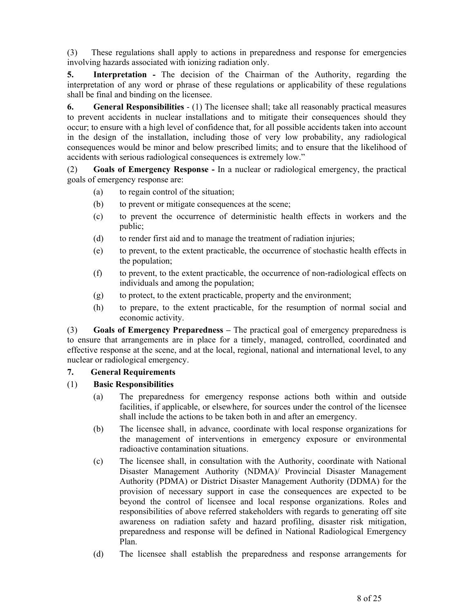(3) These regulations shall apply to actions in preparedness and response for emergencies involving hazards associated with ionizing radiation only.

**5. Interpretation -** The decision of the Chairman of the Authority, regarding the interpretation of any word or phrase of these regulations or applicability of these regulations shall be final and binding on the licensee.

**6. General Responsibilities** - (1) The licensee shall; take all reasonably practical measures to prevent accidents in nuclear installations and to mitigate their consequences should they occur; to ensure with a high level of confidence that*,* for all possible accidents taken into account in the design of the installation, including those of very low probability, any radiological consequences would be minor and below prescribed limits; and to ensure that the likelihood of accidents with serious radiological consequences is extremely low."

(2) **Goals of Emergency Response -** In a nuclear or radiological emergency, the practical goals of emergency response are:

- (a) to regain control of the situation;
- (b) to prevent or mitigate consequences at the scene;
- (c) to prevent the occurrence of deterministic health effects in workers and the public;
- (d) to render first aid and to manage the treatment of radiation injuries;
- (e) to prevent, to the extent practicable, the occurrence of stochastic health effects in the population;
- (f) to prevent, to the extent practicable, the occurrence of non-radiological effects on individuals and among the population;
- (g) to protect, to the extent practicable, property and the environment;
- (h) to prepare, to the extent practicable, for the resumption of normal social and economic activity.

(3) **Goals of Emergency Preparedness –** The practical goal of emergency preparedness is to ensure that arrangements are in place for a timely, managed, controlled, coordinated and effective response at the scene, and at the local, regional, national and international level, to any nuclear or radiological emergency.

# **7. General Requirements**

#### (1) **Basic Responsibilities**

- (a) The preparedness for emergency response actions both within and outside facilities, if applicable, or elsewhere, for sources under the control of the licensee shall include the actions to be taken both in and after an emergency.
- (b) The licensee shall, in advance, coordinate with local response organizations for the management of interventions in emergency exposure or environmental radioactive contamination situations.
- (c) The licensee shall, in consultation with the Authority, coordinate with National Disaster Management Authority (NDMA)/ Provincial Disaster Management Authority (PDMA) or District Disaster Management Authority (DDMA) for the provision of necessary support in case the consequences are expected to be beyond the control of licensee and local response organizations. Roles and responsibilities of above referred stakeholders with regards to generating off site awareness on radiation safety and hazard profiling, disaster risk mitigation, preparedness and response will be defined in National Radiological Emergency Plan.
- (d) The licensee shall establish the preparedness and response arrangements for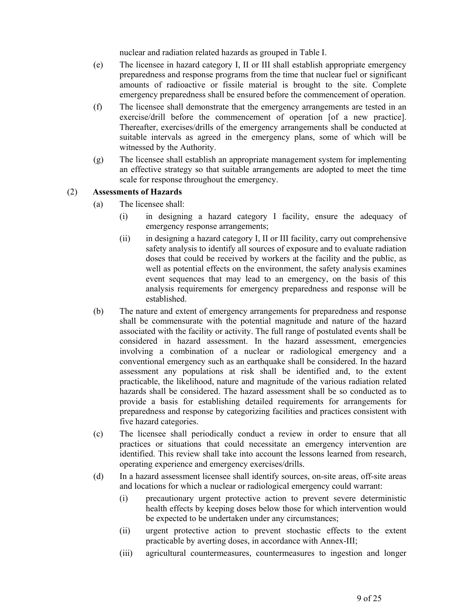nuclear and radiation related hazards as grouped in Table I.

- (e) The licensee in hazard category I, II or III shall establish appropriate emergency preparedness and response programs from the time that nuclear fuel or significant amounts of radioactive or fissile material is brought to the site. Complete emergency preparedness shall be ensured before the commencement of operation.
- (f) The licensee shall demonstrate that the emergency arrangements are tested in an exercise/drill before the commencement of operation [of a new practice]. Thereafter, exercises/drills of the emergency arrangements shall be conducted at suitable intervals as agreed in the emergency plans, some of which will be witnessed by the Authority.
- (g) The licensee shall establish an appropriate management system for implementing an effective strategy so that suitable arrangements are adopted to meet the time scale for response throughout the emergency.

## (2) **Assessments of Hazards**

- (a) The licensee shall:
	- (i) in designing a hazard category I facility, ensure the adequacy of emergency response arrangements;
	- (ii) in designing a hazard category I, II or III facility, carry out comprehensive safety analysis to identify all sources of exposure and to evaluate radiation doses that could be received by workers at the facility and the public, as well as potential effects on the environment, the safety analysis examines event sequences that may lead to an emergency, on the basis of this analysis requirements for emergency preparedness and response will be established.
- (b) The nature and extent of emergency arrangements for preparedness and response shall be commensurate with the potential magnitude and nature of the hazard associated with the facility or activity. The full range of postulated events shall be considered in hazard assessment. In the hazard assessment, emergencies involving a combination of a nuclear or radiological emergency and a conventional emergency such as an earthquake shall be considered. In the hazard assessment any populations at risk shall be identified and, to the extent practicable, the likelihood, nature and magnitude of the various radiation related hazards shall be considered. The hazard assessment shall be so conducted as to provide a basis for establishing detailed requirements for arrangements for preparedness and response by categorizing facilities and practices consistent with five hazard categories.
- (c) The licensee shall periodically conduct a review in order to ensure that all practices or situations that could necessitate an emergency intervention are identified. This review shall take into account the lessons learned from research, operating experience and emergency exercises/drills.
- (d) In a hazard assessment licensee shall identify sources, on-site areas, off-site areas and locations for which a nuclear or radiological emergency could warrant:
	- (i) precautionary urgent protective action to prevent severe deterministic health effects by keeping doses below those for which intervention would be expected to be undertaken under any circumstances;
	- (ii) urgent protective action to prevent stochastic effects to the extent practicable by averting doses, in accordance with Annex-III;
	- (iii) agricultural countermeasures, countermeasures to ingestion and longer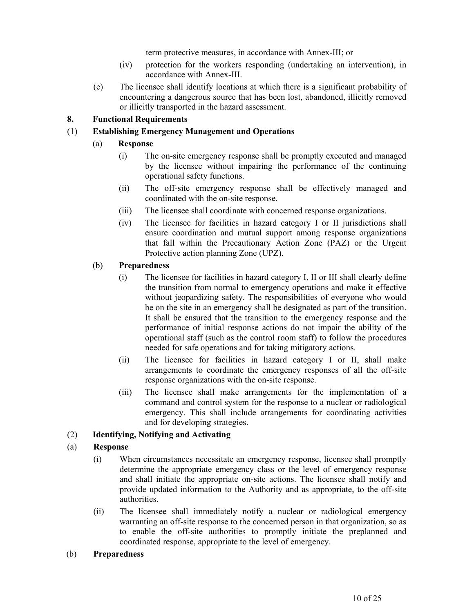term protective measures, in accordance with Annex-III; or

- (iv) protection for the workers responding (undertaking an intervention), in accordance with Annex-III.
- (e) The licensee shall identify locations at which there is a significant probability of encountering a dangerous source that has been lost, abandoned, illicitly removed or illicitly transported in the hazard assessment.

# **8. Functional Requirements**

# (1) **Establishing Emergency Management and Operations**

# (a) **Response**

- (i) The on-site emergency response shall be promptly executed and managed by the licensee without impairing the performance of the continuing operational safety functions.
- (ii) The off-site emergency response shall be effectively managed and coordinated with the on-site response.
- (iii) The licensee shall coordinate with concerned response organizations.
- (iv) The licensee for facilities in hazard category I or II jurisdictions shall ensure coordination and mutual support among response organizations that fall within the Precautionary Action Zone (PAZ) or the Urgent Protective action planning Zone (UPZ).

## (b) **Preparedness**

- (i) The licensee for facilities in hazard category I, II or III shall clearly define the transition from normal to emergency operations and make it effective without jeopardizing safety. The responsibilities of everyone who would be on the site in an emergency shall be designated as part of the transition. It shall be ensured that the transition to the emergency response and the performance of initial response actions do not impair the ability of the operational staff (such as the control room staff) to follow the procedures needed for safe operations and for taking mitigatory actions.
- (ii) The licensee for facilities in hazard category I or II, shall make arrangements to coordinate the emergency responses of all the off-site response organizations with the on-site response.
- (iii) The licensee shall make arrangements for the implementation of a command and control system for the response to a nuclear or radiological emergency. This shall include arrangements for coordinating activities and for developing strategies.

# (2) **Identifying, Notifying and Activating**

# (a) **Response**

- (i) When circumstances necessitate an emergency response, licensee shall promptly determine the appropriate emergency class or the level of emergency response and shall initiate the appropriate on-site actions. The licensee shall notify and provide updated information to the Authority and as appropriate, to the off-site authorities.
- (ii) The licensee shall immediately notify a nuclear or radiological emergency warranting an off-site response to the concerned person in that organization, so as to enable the off-site authorities to promptly initiate the preplanned and coordinated response, appropriate to the level of emergency.
- (b) **Preparedness**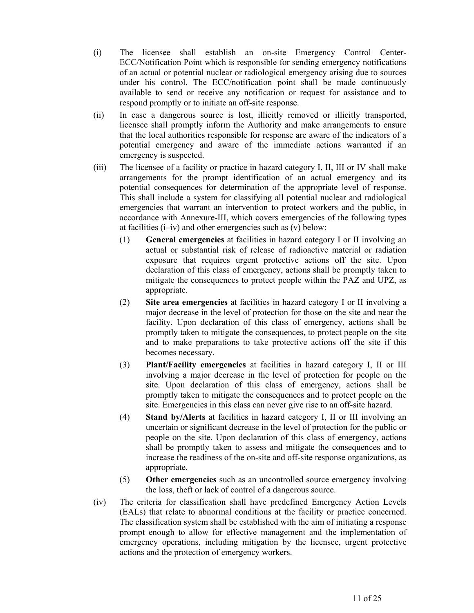- (i) The licensee shall establish an on-site Emergency Control Center-ECC/Notification Point which is responsible for sending emergency notifications of an actual or potential nuclear or radiological emergency arising due to sources under his control. The ECC/notification point shall be made continuously available to send or receive any notification or request for assistance and to respond promptly or to initiate an off-site response.
- (ii) In case a dangerous source is lost, illicitly removed or illicitly transported, licensee shall promptly inform the Authority and make arrangements to ensure that the local authorities responsible for response are aware of the indicators of a potential emergency and aware of the immediate actions warranted if an emergency is suspected.
- (iii) The licensee of a facility or practice in hazard category I, II, III or IV shall make arrangements for the prompt identification of an actual emergency and its potential consequences for determination of the appropriate level of response. This shall include a system for classifying all potential nuclear and radiological emergencies that warrant an intervention to protect workers and the public, in accordance with Annexure-III, which covers emergencies of the following types at facilities (i–iv) and other emergencies such as (v) below:
	- (1) **General emergencies** at facilities in hazard category I or II involving an actual or substantial risk of release of radioactive material or radiation exposure that requires urgent protective actions off the site. Upon declaration of this class of emergency, actions shall be promptly taken to mitigate the consequences to protect people within the PAZ and UPZ, as appropriate.
	- (2) **Site area emergencies** at facilities in hazard category I or II involving a major decrease in the level of protection for those on the site and near the facility. Upon declaration of this class of emergency, actions shall be promptly taken to mitigate the consequences, to protect people on the site and to make preparations to take protective actions off the site if this becomes necessary.
	- (3) **Plant/Facility emergencies** at facilities in hazard category I, II or III involving a major decrease in the level of protection for people on the site. Upon declaration of this class of emergency, actions shall be promptly taken to mitigate the consequences and to protect people on the site. Emergencies in this class can never give rise to an off-site hazard.
	- (4) **Stand by/Alerts** at facilities in hazard category I, II or III involving an uncertain or significant decrease in the level of protection for the public or people on the site. Upon declaration of this class of emergency, actions shall be promptly taken to assess and mitigate the consequences and to increase the readiness of the on-site and off-site response organizations, as appropriate.
	- (5) **Other emergencies** such as an uncontrolled source emergency involving the loss, theft or lack of control of a dangerous source.
- (iv) The criteria for classification shall have predefined Emergency Action Levels (EALs) that relate to abnormal conditions at the facility or practice concerned. The classification system shall be established with the aim of initiating a response prompt enough to allow for effective management and the implementation of emergency operations, including mitigation by the licensee, urgent protective actions and the protection of emergency workers.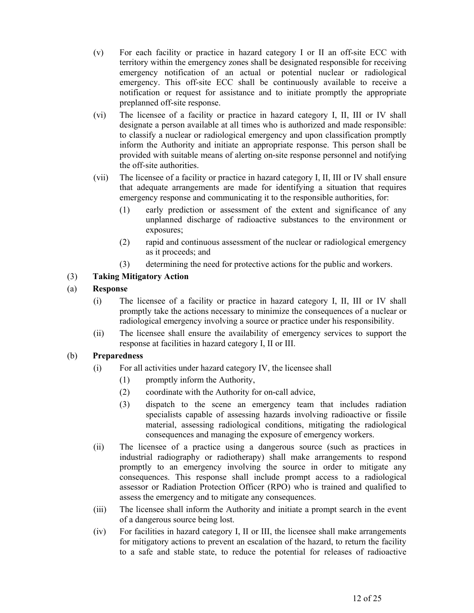- (v) For each facility or practice in hazard category I or II an off-site ECC with territory within the emergency zones shall be designated responsible for receiving emergency notification of an actual or potential nuclear or radiological emergency. This off-site ECC shall be continuously available to receive a notification or request for assistance and to initiate promptly the appropriate preplanned off-site response.
- (vi) The licensee of a facility or practice in hazard category I, II, III or IV shall designate a person available at all times who is authorized and made responsible: to classify a nuclear or radiological emergency and upon classification promptly inform the Authority and initiate an appropriate response. This person shall be provided with suitable means of alerting on-site response personnel and notifying the off-site authorities.
- (vii) The licensee of a facility or practice in hazard category I, II, III or IV shall ensure that adequate arrangements are made for identifying a situation that requires emergency response and communicating it to the responsible authorities, for:
	- (1) early prediction or assessment of the extent and significance of any unplanned discharge of radioactive substances to the environment or exposures;
	- (2) rapid and continuous assessment of the nuclear or radiological emergency as it proceeds; and
	- (3) determining the need for protective actions for the public and workers.

# (3) **Taking Mitigatory Action**

# (a) **Response**

- (i) The licensee of a facility or practice in hazard category I, II, III or IV shall promptly take the actions necessary to minimize the consequences of a nuclear or radiological emergency involving a source or practice under his responsibility.
- (ii) The licensee shall ensure the availability of emergency services to support the response at facilities in hazard category I, II or III.

- (i) For all activities under hazard category IV, the licensee shall
	- (1) promptly inform the Authority,
	- (2) coordinate with the Authority for on-call advice,
	- (3) dispatch to the scene an emergency team that includes radiation specialists capable of assessing hazards involving radioactive or fissile material, assessing radiological conditions, mitigating the radiological consequences and managing the exposure of emergency workers.
- (ii) The licensee of a practice using a dangerous source (such as practices in industrial radiography or radiotherapy) shall make arrangements to respond promptly to an emergency involving the source in order to mitigate any consequences. This response shall include prompt access to a radiological assessor or Radiation Protection Officer (RPO) who is trained and qualified to assess the emergency and to mitigate any consequences.
- (iii) The licensee shall inform the Authority and initiate a prompt search in the event of a dangerous source being lost.
- (iv) For facilities in hazard category I, II or III, the licensee shall make arrangements for mitigatory actions to prevent an escalation of the hazard, to return the facility to a safe and stable state, to reduce the potential for releases of radioactive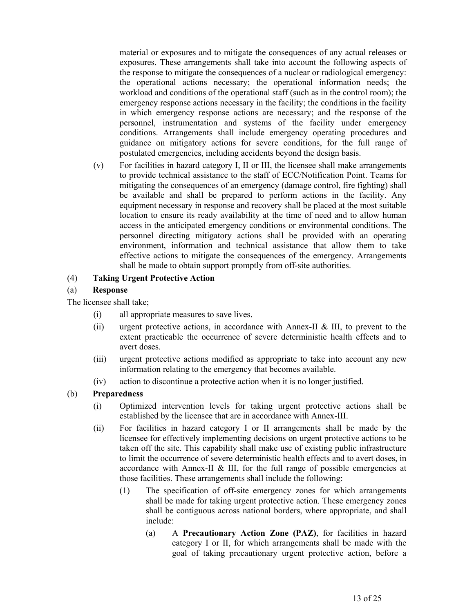material or exposures and to mitigate the consequences of any actual releases or exposures. These arrangements shall take into account the following aspects of the response to mitigate the consequences of a nuclear or radiological emergency: the operational actions necessary; the operational information needs; the workload and conditions of the operational staff (such as in the control room); the emergency response actions necessary in the facility; the conditions in the facility in which emergency response actions are necessary; and the response of the personnel, instrumentation and systems of the facility under emergency conditions. Arrangements shall include emergency operating procedures and guidance on mitigatory actions for severe conditions, for the full range of postulated emergencies, including accidents beyond the design basis.

(v) For facilities in hazard category I, II or III, the licensee shall make arrangements to provide technical assistance to the staff of ECC/Notification Point. Teams for mitigating the consequences of an emergency (damage control, fire fighting) shall be available and shall be prepared to perform actions in the facility. Any equipment necessary in response and recovery shall be placed at the most suitable location to ensure its ready availability at the time of need and to allow human access in the anticipated emergency conditions or environmental conditions. The personnel directing mitigatory actions shall be provided with an operating environment, information and technical assistance that allow them to take effective actions to mitigate the consequences of the emergency. Arrangements shall be made to obtain support promptly from off-site authorities.

## (4) **Taking Urgent Protective Action**

## (a) **Response**

The licensee shall take;

- (i) all appropriate measures to save lives.
- (ii) urgent protective actions, in accordance with Annex-II & III, to prevent to the extent practicable the occurrence of severe deterministic health effects and to avert doses.
- (iii) urgent protective actions modified as appropriate to take into account any new information relating to the emergency that becomes available.
- (iv) action to discontinue a protective action when it is no longer justified.

- (i) Optimized intervention levels for taking urgent protective actions shall be established by the licensee that are in accordance with Annex-III.
- (ii) For facilities in hazard category I or II arrangements shall be made by the licensee for effectively implementing decisions on urgent protective actions to be taken off the site. This capability shall make use of existing public infrastructure to limit the occurrence of severe deterministic health effects and to avert doses, in accordance with Annex-II  $&$  III, for the full range of possible emergencies at those facilities. These arrangements shall include the following:
	- (1) The specification of off-site emergency zones for which arrangements shall be made for taking urgent protective action. These emergency zones shall be contiguous across national borders, where appropriate, and shall include:
		- (a) A **Precautionary Action Zone (PAZ)**, for facilities in hazard category I or II, for which arrangements shall be made with the goal of taking precautionary urgent protective action, before a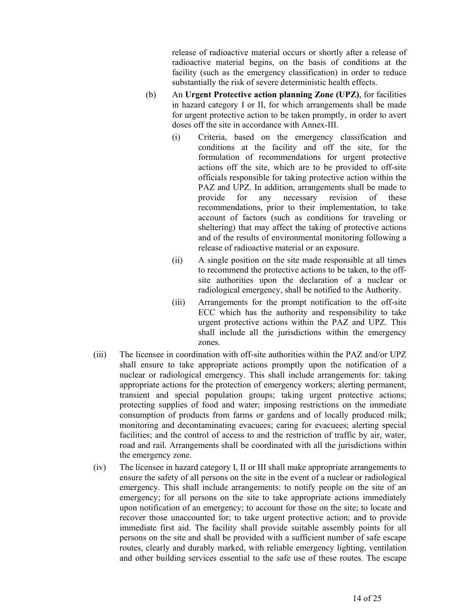release of radioactive material occurs or shortly after a release of radioactive material begins, on the basis of conditions at the facility (such as the emergency classification) in order to reduce substantially the risk of severe deterministic health effects.

- (b) An **Urgent Protective action planning Zone (UPZ)**, for facilities in hazard category I or II, for which arrangements shall be made for urgent protective action to be taken promptly, in order to avert doses off the site in accordance with Annex-III.
	- (i) Criteria, based on the emergency classification and conditions at the facility and off the site, for the formulation of recommendations for urgent protective actions off the site, which are to be provided to off-site officials responsible for taking protective action within the PAZ and UPZ. In addition, arrangements shall be made to provide for any necessary revision of these recommendations, prior to their implementation, to take account of factors (such as conditions for traveling or sheltering) that may affect the taking of protective actions and of the results of environmental monitoring following a release of radioactive material or an exposure.
	- (ii) A single position on the site made responsible at all times to recommend the protective actions to be taken, to the offsite authorities upon the declaration of a nuclear or radiological emergency, shall be notified to the Authority.
	- (iii) Arrangements for the prompt notification to the off-site ECC which has the authority and responsibility to take urgent protective actions within the PAZ and UPZ. This shall include all the jurisdictions within the emergency zones.
- (iii) The licensee in coordination with off-site authorities within the PAZ and/or UPZ shall ensure to take appropriate actions promptly upon the notification of a nuclear or radiological emergency. This shall include arrangements for: taking appropriate actions for the protection of emergency workers; alerting permanent, transient and special population groups; taking urgent protective actions; protecting supplies of food and water; imposing restrictions on the immediate consumption of products from farms or gardens and of locally produced milk; monitoring and decontaminating evacuees; caring for evacuees; alerting special facilities; and the control of access to and the restriction of traffic by air, water, road and rail. Arrangements shall be coordinated with all the jurisdictions within the emergency zone.
- (iv) The licensee in hazard category I, II or III shall make appropriate arrangements to ensure the safety of all persons on the site in the event of a nuclear or radiological emergency. This shall include arrangements: to notify people on the site of an emergency; for all persons on the site to take appropriate actions immediately upon notification of an emergency; to account for those on the site; to locate and recover those unaccounted for; to take urgent protective action; and to provide immediate first aid. The facility shall provide suitable assembly points for all persons on the site and shall be provided with a sufficient number of safe escape routes, clearly and durably marked, with reliable emergency lighting, ventilation and other building services essential to the safe use of these routes. The escape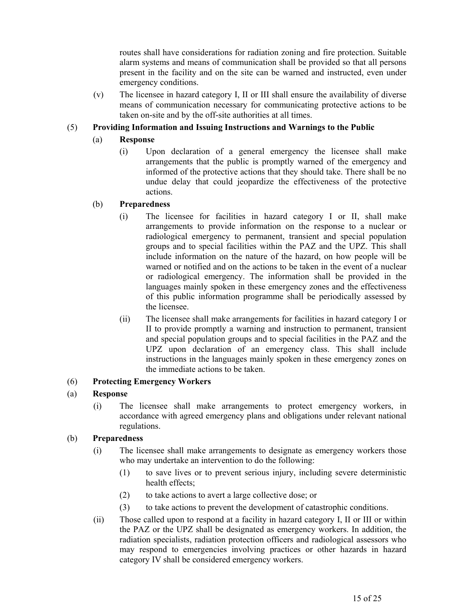routes shall have considerations for radiation zoning and fire protection. Suitable alarm systems and means of communication shall be provided so that all persons present in the facility and on the site can be warned and instructed, even under emergency conditions.

(v) The licensee in hazard category I, II or III shall ensure the availability of diverse means of communication necessary for communicating protective actions to be taken on-site and by the off-site authorities at all times.

# (5) **Providing Information and Issuing Instructions and Warnings to the Public**

# (a) **Response**

(i) Upon declaration of a general emergency the licensee shall make arrangements that the public is promptly warned of the emergency and informed of the protective actions that they should take. There shall be no undue delay that could jeopardize the effectiveness of the protective actions.

# (b) **Preparedness**

- (i) The licensee for facilities in hazard category I or II, shall make arrangements to provide information on the response to a nuclear or radiological emergency to permanent, transient and special population groups and to special facilities within the PAZ and the UPZ. This shall include information on the nature of the hazard, on how people will be warned or notified and on the actions to be taken in the event of a nuclear or radiological emergency. The information shall be provided in the languages mainly spoken in these emergency zones and the effectiveness of this public information programme shall be periodically assessed by the licensee.
- (ii) The licensee shall make arrangements for facilities in hazard category I or II to provide promptly a warning and instruction to permanent, transient and special population groups and to special facilities in the PAZ and the UPZ upon declaration of an emergency class. This shall include instructions in the languages mainly spoken in these emergency zones on the immediate actions to be taken.

# (6) **Protecting Emergency Workers**

# (a) **Response**

(i) The licensee shall make arrangements to protect emergency workers, in accordance with agreed emergency plans and obligations under relevant national regulations.

- (i) The licensee shall make arrangements to designate as emergency workers those who may undertake an intervention to do the following:
	- (1) to save lives or to prevent serious injury, including severe deterministic health effects;
	- (2) to take actions to avert a large collective dose; or
	- (3) to take actions to prevent the development of catastrophic conditions.
- (ii) Those called upon to respond at a facility in hazard category I, II or III or within the PAZ or the UPZ shall be designated as emergency workers. In addition, the radiation specialists, radiation protection officers and radiological assessors who may respond to emergencies involving practices or other hazards in hazard category IV shall be considered emergency workers.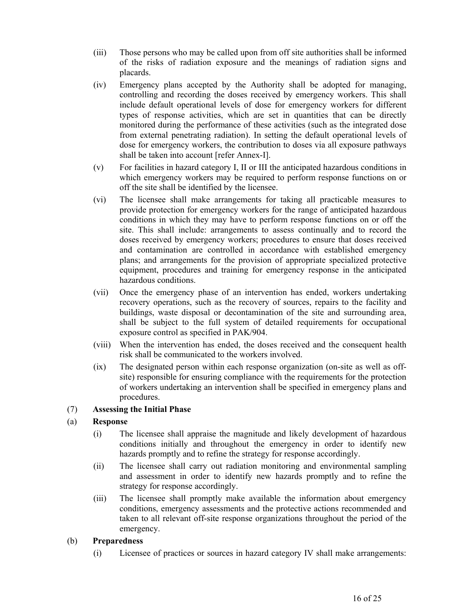- (iii) Those persons who may be called upon from off site authorities shall be informed of the risks of radiation exposure and the meanings of radiation signs and placards.
- (iv) Emergency plans accepted by the Authority shall be adopted for managing, controlling and recording the doses received by emergency workers. This shall include default operational levels of dose for emergency workers for different types of response activities, which are set in quantities that can be directly monitored during the performance of these activities (such as the integrated dose from external penetrating radiation). In setting the default operational levels of dose for emergency workers, the contribution to doses via all exposure pathways shall be taken into account [refer Annex-I].
- (v) For facilities in hazard category I, II or III the anticipated hazardous conditions in which emergency workers may be required to perform response functions on or off the site shall be identified by the licensee.
- (vi) The licensee shall make arrangements for taking all practicable measures to provide protection for emergency workers for the range of anticipated hazardous conditions in which they may have to perform response functions on or off the site. This shall include: arrangements to assess continually and to record the doses received by emergency workers; procedures to ensure that doses received and contamination are controlled in accordance with established emergency plans; and arrangements for the provision of appropriate specialized protective equipment, procedures and training for emergency response in the anticipated hazardous conditions.
- (vii) Once the emergency phase of an intervention has ended, workers undertaking recovery operations, such as the recovery of sources, repairs to the facility and buildings, waste disposal or decontamination of the site and surrounding area, shall be subject to the full system of detailed requirements for occupational exposure control as specified in PAK/904.
- (viii) When the intervention has ended, the doses received and the consequent health risk shall be communicated to the workers involved.
- (ix) The designated person within each response organization (on-site as well as offsite) responsible for ensuring compliance with the requirements for the protection of workers undertaking an intervention shall be specified in emergency plans and procedures.

# (7) **Assessing the Initial Phase**

#### (a) **Response**

- (i) The licensee shall appraise the magnitude and likely development of hazardous conditions initially and throughout the emergency in order to identify new hazards promptly and to refine the strategy for response accordingly.
- (ii) The licensee shall carry out radiation monitoring and environmental sampling and assessment in order to identify new hazards promptly and to refine the strategy for response accordingly.
- (iii) The licensee shall promptly make available the information about emergency conditions, emergency assessments and the protective actions recommended and taken to all relevant off-site response organizations throughout the period of the emergency.

#### (b) **Preparedness**

(i) Licensee of practices or sources in hazard category IV shall make arrangements: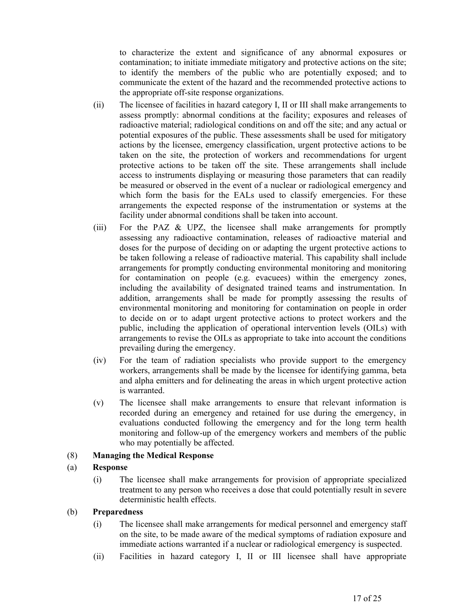to characterize the extent and significance of any abnormal exposures or contamination; to initiate immediate mitigatory and protective actions on the site; to identify the members of the public who are potentially exposed; and to communicate the extent of the hazard and the recommended protective actions to the appropriate off-site response organizations.

- (ii) The licensee of facilities in hazard category I, II or III shall make arrangements to assess promptly: abnormal conditions at the facility; exposures and releases of radioactive material; radiological conditions on and off the site; and any actual or potential exposures of the public. These assessments shall be used for mitigatory actions by the licensee, emergency classification, urgent protective actions to be taken on the site, the protection of workers and recommendations for urgent protective actions to be taken off the site. These arrangements shall include access to instruments displaying or measuring those parameters that can readily be measured or observed in the event of a nuclear or radiological emergency and which form the basis for the EALs used to classify emergencies. For these arrangements the expected response of the instrumentation or systems at the facility under abnormal conditions shall be taken into account.
- (iii) For the PAZ & UPZ, the licensee shall make arrangements for promptly assessing any radioactive contamination, releases of radioactive material and doses for the purpose of deciding on or adapting the urgent protective actions to be taken following a release of radioactive material. This capability shall include arrangements for promptly conducting environmental monitoring and monitoring for contamination on people (e.g. evacuees) within the emergency zones, including the availability of designated trained teams and instrumentation. In addition, arrangements shall be made for promptly assessing the results of environmental monitoring and monitoring for contamination on people in order to decide on or to adapt urgent protective actions to protect workers and the public, including the application of operational intervention levels (OILs) with arrangements to revise the OILs as appropriate to take into account the conditions prevailing during the emergency.
- (iv) For the team of radiation specialists who provide support to the emergency workers, arrangements shall be made by the licensee for identifying gamma, beta and alpha emitters and for delineating the areas in which urgent protective action is warranted.
- (v) The licensee shall make arrangements to ensure that relevant information is recorded during an emergency and retained for use during the emergency, in evaluations conducted following the emergency and for the long term health monitoring and follow-up of the emergency workers and members of the public who may potentially be affected.

# (8) **Managing the Medical Response**

#### (a) **Response**

(i) The licensee shall make arrangements for provision of appropriate specialized treatment to any person who receives a dose that could potentially result in severe deterministic health effects.

- (i) The licensee shall make arrangements for medical personnel and emergency staff on the site, to be made aware of the medical symptoms of radiation exposure and immediate actions warranted if a nuclear or radiological emergency is suspected.
- (ii) Facilities in hazard category I, II or III licensee shall have appropriate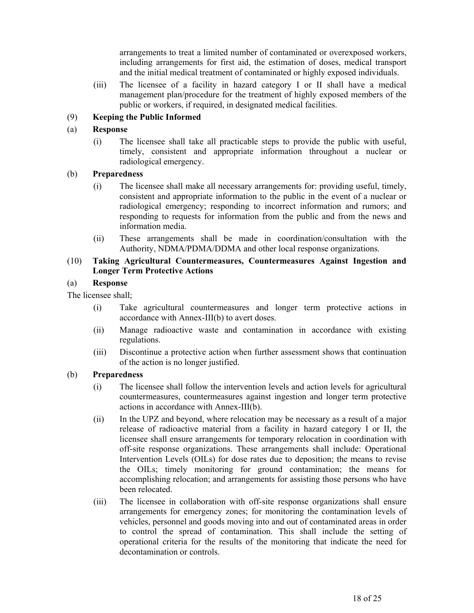arrangements to treat a limited number of contaminated or overexposed workers, including arrangements for first aid, the estimation of doses, medical transport and the initial medical treatment of contaminated or highly exposed individuals.

(iii) The licensee of a facility in hazard category I or II shall have a medical management plan/procedure for the treatment of highly exposed members of the public or workers, if required, in designated medical facilities.

# (9) **Keeping the Public Informed**

# (a) **Response**

(i) The licensee shall take all practicable steps to provide the public with useful, timely, consistent and appropriate information throughout a nuclear or radiological emergency.

# (b) **Preparedness**

- (i) The licensee shall make all necessary arrangements for: providing useful, timely, consistent and appropriate information to the public in the event of a nuclear or radiological emergency; responding to incorrect information and rumors; and responding to requests for information from the public and from the news and information media.
- (ii) These arrangements shall be made in coordination/consultation with the Authority, NDMA/PDMA/DDMA and other local response organizations.

## (10) **Taking Agricultural Countermeasures, Countermeasures Against Ingestion and Longer Term Protective Actions**

# (a) **Response**

The licensee shall;

- (i) Take agricultural countermeasures and longer term protective actions in accordance with Annex-III(b) to avert doses.
- (ii) Manage radioactive waste and contamination in accordance with existing regulations.
- (iii) Discontinue a protective action when further assessment shows that continuation of the action is no longer justified.

- (i) The licensee shall follow the intervention levels and action levels for agricultural countermeasures, countermeasures against ingestion and longer term protective actions in accordance with Annex-III(b).
- (ii) In the UPZ and beyond, where relocation may be necessary as a result of a major release of radioactive material from a facility in hazard category I or II, the licensee shall ensure arrangements for temporary relocation in coordination with off-site response organizations. These arrangements shall include: Operational Intervention Levels (OILs) for dose rates due to deposition; the means to revise the OILs; timely monitoring for ground contamination; the means for accomplishing relocation; and arrangements for assisting those persons who have been relocated.
- (iii) The licensee in collaboration with off-site response organizations shall ensure arrangements for emergency zones; for monitoring the contamination levels of vehicles, personnel and goods moving into and out of contaminated areas in order to control the spread of contamination. This shall include the setting of operational criteria for the results of the monitoring that indicate the need for decontamination or controls.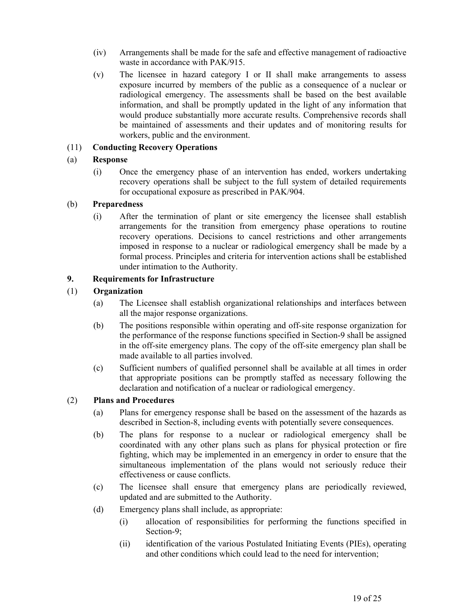- (iv) Arrangements shall be made for the safe and effective management of radioactive waste in accordance with PAK/915.
- (v) The licensee in hazard category I or II shall make arrangements to assess exposure incurred by members of the public as a consequence of a nuclear or radiological emergency. The assessments shall be based on the best available information, and shall be promptly updated in the light of any information that would produce substantially more accurate results. Comprehensive records shall be maintained of assessments and their updates and of monitoring results for workers, public and the environment.

# (11) **Conducting Recovery Operations**

## (a) **Response**

(i) Once the emergency phase of an intervention has ended, workers undertaking recovery operations shall be subject to the full system of detailed requirements for occupational exposure as prescribed in PAK/904.

## (b) **Preparedness**

(i) After the termination of plant or site emergency the licensee shall establish arrangements for the transition from emergency phase operations to routine recovery operations. Decisions to cancel restrictions and other arrangements imposed in response to a nuclear or radiological emergency shall be made by a formal process. Principles and criteria for intervention actions shall be established under intimation to the Authority.

# **9. Requirements for Infrastructure**

## (1) **Organization**

- (a) The Licensee shall establish organizational relationships and interfaces between all the major response organizations.
- (b) The positions responsible within operating and off-site response organization for the performance of the response functions specified in Section-9 shall be assigned in the off-site emergency plans. The copy of the off-site emergency plan shall be made available to all parties involved.
- (c) Sufficient numbers of qualified personnel shall be available at all times in order that appropriate positions can be promptly staffed as necessary following the declaration and notification of a nuclear or radiological emergency.

#### (2) **Plans and Procedures**

- (a) Plans for emergency response shall be based on the assessment of the hazards as described in Section-8, including events with potentially severe consequences.
- (b) The plans for response to a nuclear or radiological emergency shall be coordinated with any other plans such as plans for physical protection or fire fighting, which may be implemented in an emergency in order to ensure that the simultaneous implementation of the plans would not seriously reduce their effectiveness or cause conflicts.
- (c) The licensee shall ensure that emergency plans are periodically reviewed, updated and are submitted to the Authority.
- (d) Emergency plans shall include, as appropriate:
	- (i) allocation of responsibilities for performing the functions specified in Section-9;
	- (ii) identification of the various Postulated Initiating Events (PIEs), operating and other conditions which could lead to the need for intervention;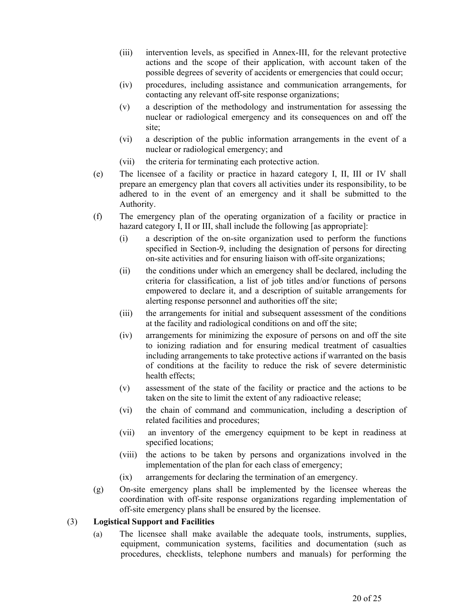- (iii) intervention levels, as specified in Annex-III, for the relevant protective actions and the scope of their application, with account taken of the possible degrees of severity of accidents or emergencies that could occur;
- (iv) procedures, including assistance and communication arrangements, for contacting any relevant off-site response organizations;
- (v) a description of the methodology and instrumentation for assessing the nuclear or radiological emergency and its consequences on and off the site;
- (vi) a description of the public information arrangements in the event of a nuclear or radiological emergency; and
- (vii) the criteria for terminating each protective action.
- (e) The licensee of a facility or practice in hazard category I, II, III or IV shall prepare an emergency plan that covers all activities under its responsibility, to be adhered to in the event of an emergency and it shall be submitted to the Authority.
- (f) The emergency plan of the operating organization of a facility or practice in hazard category I, II or III, shall include the following [as appropriate]:
	- (i) a description of the on-site organization used to perform the functions specified in Section-9, including the designation of persons for directing on-site activities and for ensuring liaison with off-site organizations;
	- (ii) the conditions under which an emergency shall be declared, including the criteria for classification, a list of job titles and/or functions of persons empowered to declare it, and a description of suitable arrangements for alerting response personnel and authorities off the site;
	- (iii) the arrangements for initial and subsequent assessment of the conditions at the facility and radiological conditions on and off the site;
	- (iv) arrangements for minimizing the exposure of persons on and off the site to ionizing radiation and for ensuring medical treatment of casualties including arrangements to take protective actions if warranted on the basis of conditions at the facility to reduce the risk of severe deterministic health effects;
	- (v) assessment of the state of the facility or practice and the actions to be taken on the site to limit the extent of any radioactive release;
	- (vi) the chain of command and communication, including a description of related facilities and procedures;
	- (vii) an inventory of the emergency equipment to be kept in readiness at specified locations;
	- (viii) the actions to be taken by persons and organizations involved in the implementation of the plan for each class of emergency;
	- (ix) arrangements for declaring the termination of an emergency.
- (g) On-site emergency plans shall be implemented by the licensee whereas the coordination with off-site response organizations regarding implementation of off-site emergency plans shall be ensured by the licensee.

# (3) **Logistical Support and Facilities**

(a) The licensee shall make available the adequate tools, instruments, supplies, equipment, communication systems, facilities and documentation (such as procedures, checklists, telephone numbers and manuals) for performing the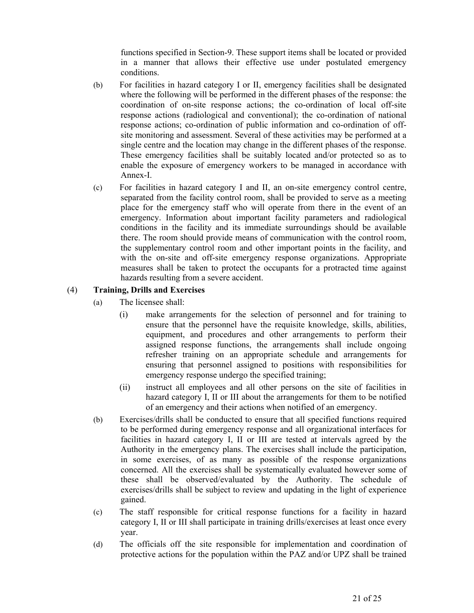functions specified in Section-9. These support items shall be located or provided in a manner that allows their effective use under postulated emergency conditions.

- (b) For facilities in hazard category I or II, emergency facilities shall be designated where the following will be performed in the different phases of the response: the coordination of on-site response actions; the co-ordination of local off-site response actions (radiological and conventional); the co-ordination of national response actions; co-ordination of public information and co-ordination of offsite monitoring and assessment. Several of these activities may be performed at a single centre and the location may change in the different phases of the response. These emergency facilities shall be suitably located and/or protected so as to enable the exposure of emergency workers to be managed in accordance with Annex-I.
- (c) For facilities in hazard category I and II, an on-site emergency control centre, separated from the facility control room, shall be provided to serve as a meeting place for the emergency staff who will operate from there in the event of an emergency. Information about important facility parameters and radiological conditions in the facility and its immediate surroundings should be available there. The room should provide means of communication with the control room, the supplementary control room and other important points in the facility, and with the on-site and off-site emergency response organizations. Appropriate measures shall be taken to protect the occupants for a protracted time against hazards resulting from a severe accident.

## (4) **Training, Drills and Exercises**

- (a) The licensee shall:
	- (i) make arrangements for the selection of personnel and for training to ensure that the personnel have the requisite knowledge, skills, abilities, equipment, and procedures and other arrangements to perform their assigned response functions, the arrangements shall include ongoing refresher training on an appropriate schedule and arrangements for ensuring that personnel assigned to positions with responsibilities for emergency response undergo the specified training;
	- (ii) instruct all employees and all other persons on the site of facilities in hazard category I, II or III about the arrangements for them to be notified of an emergency and their actions when notified of an emergency.
- (b) Exercises/drills shall be conducted to ensure that all specified functions required to be performed during emergency response and all organizational interfaces for facilities in hazard category I, II or III are tested at intervals agreed by the Authority in the emergency plans. The exercises shall include the participation, in some exercises, of as many as possible of the response organizations concerned. All the exercises shall be systematically evaluated however some of these shall be observed/evaluated by the Authority. The schedule of exercises/drills shall be subject to review and updating in the light of experience gained.
- (c) The staff responsible for critical response functions for a facility in hazard category I, II or III shall participate in training drills/exercises at least once every year.
- (d) The officials off the site responsible for implementation and coordination of protective actions for the population within the PAZ and/or UPZ shall be trained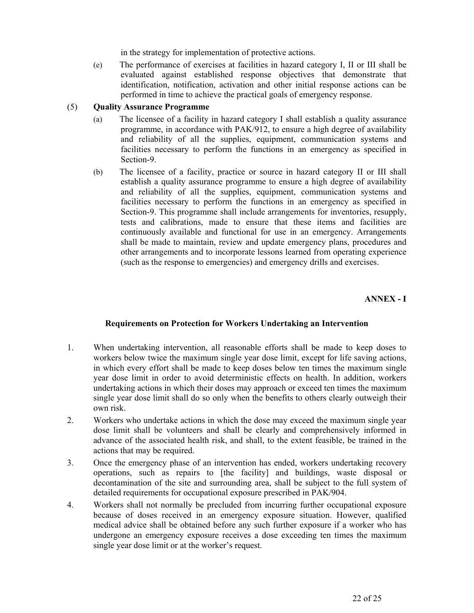in the strategy for implementation of protective actions.

(e) The performance of exercises at facilities in hazard category I, II or III shall be evaluated against established response objectives that demonstrate that identification, notification, activation and other initial response actions can be performed in time to achieve the practical goals of emergency response.

### (5) **Quality Assurance Programme**

- (a) The licensee of a facility in hazard category I shall establish a quality assurance programme, in accordance with PAK/912, to ensure a high degree of availability and reliability of all the supplies, equipment, communication systems and facilities necessary to perform the functions in an emergency as specified in Section-9.
- (b) The licensee of a facility, practice or source in hazard category II or III shall establish a quality assurance programme to ensure a high degree of availability and reliability of all the supplies, equipment, communication systems and facilities necessary to perform the functions in an emergency as specified in Section-9. This programme shall include arrangements for inventories, resupply, tests and calibrations, made to ensure that these items and facilities are continuously available and functional for use in an emergency. Arrangements shall be made to maintain, review and update emergency plans, procedures and other arrangements and to incorporate lessons learned from operating experience (such as the response to emergencies) and emergency drills and exercises.

# **ANNEX - I**

# **Requirements on Protection for Workers Undertaking an Intervention**

- 1. When undertaking intervention, all reasonable efforts shall be made to keep doses to workers below twice the maximum single year dose limit, except for life saving actions, in which every effort shall be made to keep doses below ten times the maximum single year dose limit in order to avoid deterministic effects on health. In addition, workers undertaking actions in which their doses may approach or exceed ten times the maximum single year dose limit shall do so only when the benefits to others clearly outweigh their own risk.
- 2. Workers who undertake actions in which the dose may exceed the maximum single year dose limit shall be volunteers and shall be clearly and comprehensively informed in advance of the associated health risk, and shall, to the extent feasible, be trained in the actions that may be required.
- 3. Once the emergency phase of an intervention has ended, workers undertaking recovery operations, such as repairs to [the facility] and buildings, waste disposal or decontamination of the site and surrounding area, shall be subject to the full system of detailed requirements for occupational exposure prescribed in PAK/904.
- 4. Workers shall not normally be precluded from incurring further occupational exposure because of doses received in an emergency exposure situation. However, qualified medical advice shall be obtained before any such further exposure if a worker who has undergone an emergency exposure receives a dose exceeding ten times the maximum single year dose limit or at the worker's request.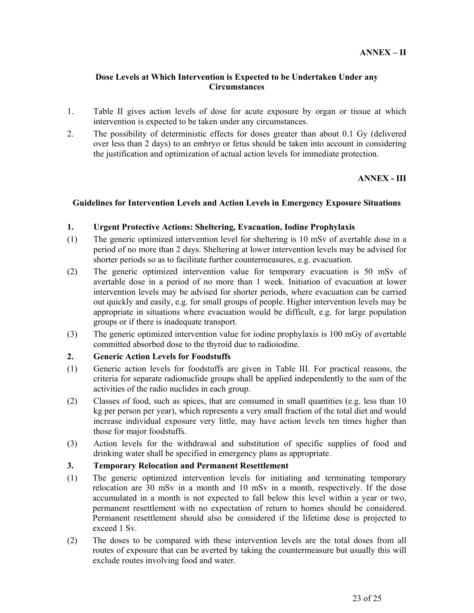## **Dose Levels at Which Intervention is Expected to be Undertaken Under any Circumstances**

- 1. Table II gives action levels of dose for acute exposure by organ or tissue at which intervention is expected to be taken under any circumstances.
- 2. The possibility of deterministic effects for doses greater than about 0.1 Gy (delivered over less than 2 days) to an embryo or fetus should be taken into account in considering the justification and optimization of actual action levels for immediate protection.

## **ANNEX - III**

#### **Guidelines for Intervention Levels and Action Levels in Emergency Exposure Situations**

#### **1. Urgent Protective Actions: Sheltering, Evacuation, Iodine Prophylaxis**

- (1) The generic optimized intervention level for sheltering is 10 mSv of avertable dose in a period of no more than 2 days. Sheltering at lower intervention levels may be advised for shorter periods so as to facilitate further countermeasures, e.g. evacuation.
- (2) The generic optimized intervention value for temporary evacuation is 50 mSv of avertable dose in a period of no more than 1 week. Initiation of evacuation at lower intervention levels may be advised for shorter periods, where evacuation can be carried out quickly and easily, e.g. for small groups of people. Higher intervention levels may be appropriate in situations where evacuation would be difficult, e.g. for large population groups or if there is inadequate transport.
- (3) The generic optimized intervention value for iodine prophylaxis is 100 mGy of avertable committed absorbed dose to the thyroid due to radioiodine.

#### **2. Generic Action Levels for Foodstuffs**

- (1) Generic action levels for foodstuffs are given in Table III. For practical reasons, the criteria for separate radionuclide groups shall be applied independently to the sum of the activities of the radio nuclides in each group.
- (2) Classes of food, such as spices, that are consumed in small quantities (e.g. less than 10 kg per person per year), which represents a very small fraction of the total diet and would increase individual exposure very little, may have action levels ten times higher than those for major foodstuffs.
- (3) Action levels for the withdrawal and substitution of specific supplies of food and drinking water shall be specified in emergency plans as appropriate.

## **3. Temporary Relocation and Permanent Resettlement**

- (1) The generic optimized intervention levels for initiating and terminating temporary relocation are 30 mSv in a month and 10 mSv in a month, respectively. If the dose accumulated in a month is not expected to fall below this level within a year or two, permanent resettlement with no expectation of return to homes should be considered. Permanent resettlement should also be considered if the lifetime dose is projected to exceed 1 Sv.
- (2) The doses to be compared with these intervention levels are the total doses from all routes of exposure that can be averted by taking the countermeasure but usually this will exclude routes involving food and water.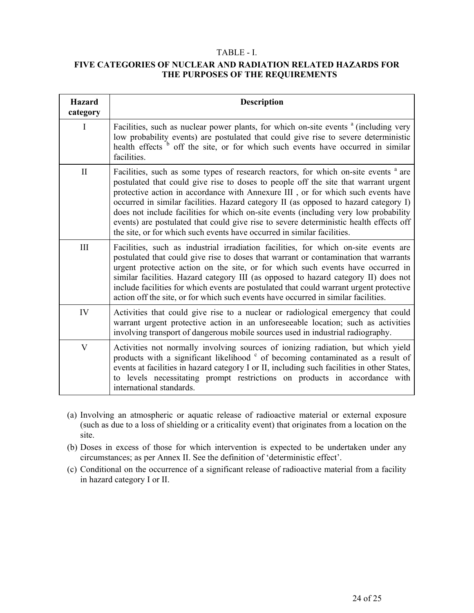## TABLE - I.

# **FIVE CATEGORIES OF NUCLEAR AND RADIATION RELATED HAZARDS FOR THE PURPOSES OF THE REQUIREMENTS**

| <b>Hazard</b><br>category | <b>Description</b>                                                                                                                                                                                                                                                                                                                                                                                                                                                                                                                                                                                                             |
|---------------------------|--------------------------------------------------------------------------------------------------------------------------------------------------------------------------------------------------------------------------------------------------------------------------------------------------------------------------------------------------------------------------------------------------------------------------------------------------------------------------------------------------------------------------------------------------------------------------------------------------------------------------------|
| I                         | Facilities, such as nuclear power plants, for which on-site events <sup>a</sup> (including very<br>low probability events) are postulated that could give rise to severe deterministic<br>health effects <sup>b</sup> off the site, or for which such events have occurred in similar<br>facilities.                                                                                                                                                                                                                                                                                                                           |
| $\mathbf{I}$              | Facilities, such as some types of research reactors, for which on-site events <sup>a</sup> are<br>postulated that could give rise to doses to people off the site that warrant urgent<br>protective action in accordance with Annexure III, or for which such events have<br>occurred in similar facilities. Hazard category II (as opposed to hazard category I)<br>does not include facilities for which on-site events (including very low probability<br>events) are postulated that could give rise to severe deterministic health effects off<br>the site, or for which such events have occurred in similar facilities. |
| III                       | Facilities, such as industrial irradiation facilities, for which on-site events are<br>postulated that could give rise to doses that warrant or contamination that warrants<br>urgent protective action on the site, or for which such events have occurred in<br>similar facilities. Hazard category III (as opposed to hazard category II) does not<br>include facilities for which events are postulated that could warrant urgent protective<br>action off the site, or for which such events have occurred in similar facilities.                                                                                         |
| IV                        | Activities that could give rise to a nuclear or radiological emergency that could<br>warrant urgent protective action in an unforeseeable location; such as activities<br>involving transport of dangerous mobile sources used in industrial radiography.                                                                                                                                                                                                                                                                                                                                                                      |
| V                         | Activities not normally involving sources of ionizing radiation, but which yield<br>products with a significant likelihood <sup>c</sup> of becoming contaminated as a result of<br>events at facilities in hazard category I or II, including such facilities in other States,<br>to levels necessitating prompt restrictions on products in accordance with<br>international standards.                                                                                                                                                                                                                                       |

- (a) Involving an atmospheric or aquatic release of radioactive material or external exposure (such as due to a loss of shielding or a criticality event) that originates from a location on the site.
- (b) Doses in excess of those for which intervention is expected to be undertaken under any circumstances; as per Annex II. See the definition of 'deterministic effect'.
- (c) Conditional on the occurrence of a significant release of radioactive material from a facility in hazard category I or II.